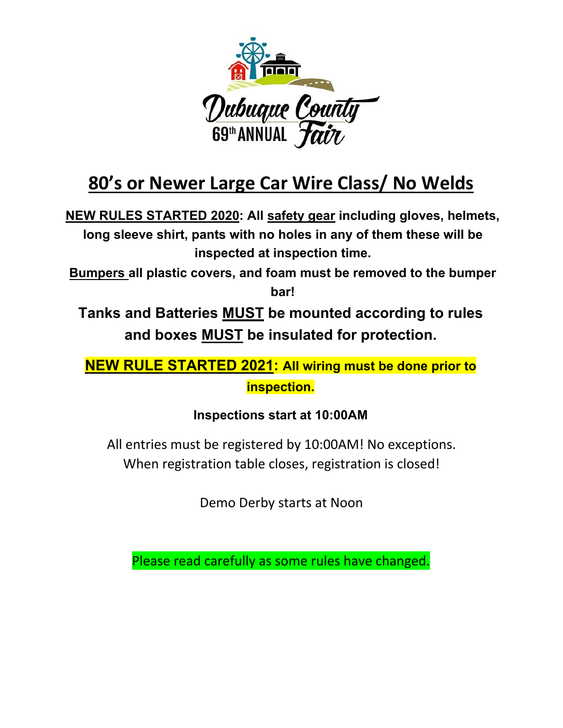

# **80's or Newer Large Car Wire Class/ No Welds**

**NEW RULES STARTED 2020: All safety gear including gloves, helmets, long sleeve shirt, pants with no holes in any of them these will be inspected at inspection time.** 

**Bumpers all plastic covers, and foam must be removed to the bumper bar!**

**Tanks and Batteries MUST be mounted according to rules and boxes MUST be insulated for protection.** 

**NEW RULE STARTED 2021: All wiring must be done prior to inspection.** 

**Inspections start at 10:00AM**

All entries must be registered by 10:00AM! No exceptions. When registration table closes, registration is closed!

Demo Derby starts at Noon

Please read carefully as some rules have changed.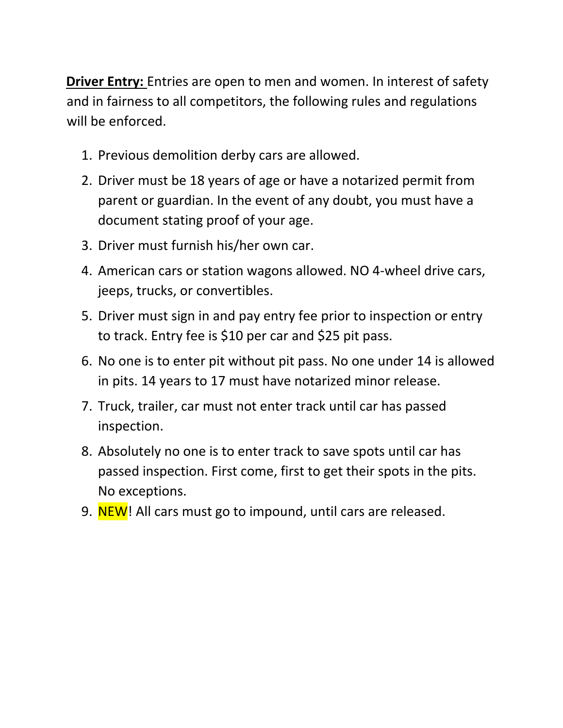**Driver Entry:** Entries are open to men and women. In interest of safety and in fairness to all competitors, the following rules and regulations will be enforced.

- 1. Previous demolition derby cars are allowed.
- 2. Driver must be 18 years of age or have a notarized permit from parent or guardian. In the event of any doubt, you must have a document stating proof of your age.
- 3. Driver must furnish his/her own car.
- 4. American cars or station wagons allowed. NO 4‐wheel drive cars, jeeps, trucks, or convertibles.
- 5. Driver must sign in and pay entry fee prior to inspection or entry to track. Entry fee is \$10 per car and \$25 pit pass.
- 6. No one is to enter pit without pit pass. No one under 14 is allowed in pits. 14 years to 17 must have notarized minor release.
- 7. Truck, trailer, car must not enter track until car has passed inspection.
- 8. Absolutely no one is to enter track to save spots until car has passed inspection. First come, first to get their spots in the pits. No exceptions.
- 9. NEW! All cars must go to impound, until cars are released.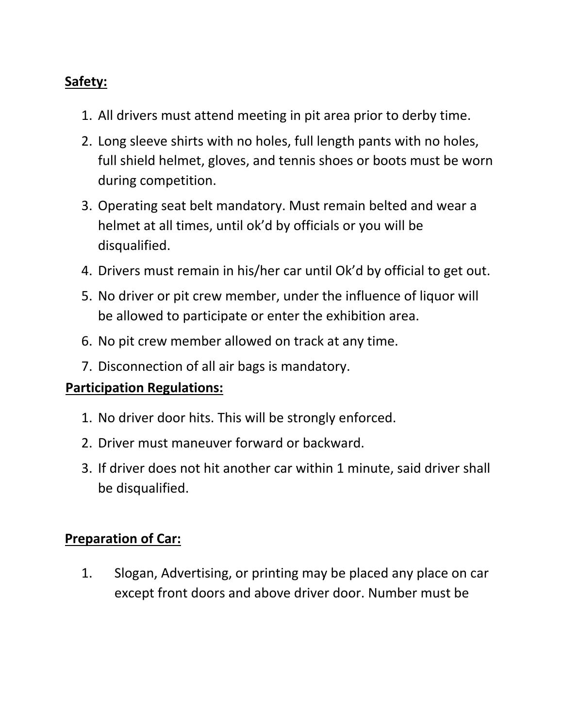### **Safety:**

- 1. All drivers must attend meeting in pit area prior to derby time.
- 2. Long sleeve shirts with no holes, full length pants with no holes, full shield helmet, gloves, and tennis shoes or boots must be worn during competition.
- 3. Operating seat belt mandatory. Must remain belted and wear a helmet at all times, until ok'd by officials or you will be disqualified.
- 4. Drivers must remain in his/her car until Ok'd by official to get out.
- 5. No driver or pit crew member, under the influence of liquor will be allowed to participate or enter the exhibition area.
- 6. No pit crew member allowed on track at any time.
- 7. Disconnection of all air bags is mandatory.

#### **Participation Regulations:**

- 1. No driver door hits. This will be strongly enforced.
- 2. Driver must maneuver forward or backward.
- 3. If driver does not hit another car within 1 minute, said driver shall be disqualified.

#### **Preparation of Car:**

1. Slogan, Advertising, or printing may be placed any place on car except front doors and above driver door. Number must be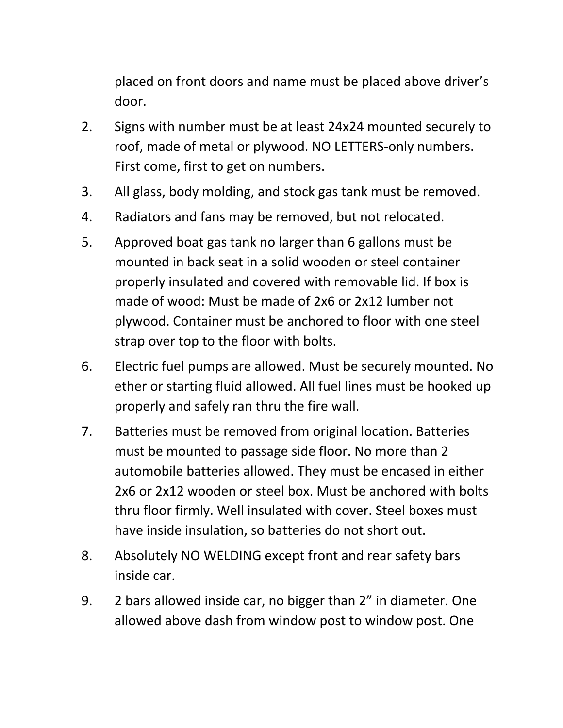placed on front doors and name must be placed above driver's door.

- 2. Signs with number must be at least 24x24 mounted securely to roof, made of metal or plywood. NO LETTERS‐only numbers. First come, first to get on numbers.
- 3. All glass, body molding, and stock gas tank must be removed.
- 4. Radiators and fans may be removed, but not relocated.
- 5. Approved boat gas tank no larger than 6 gallons must be mounted in back seat in a solid wooden or steel container properly insulated and covered with removable lid. If box is made of wood: Must be made of 2x6 or 2x12 lumber not plywood. Container must be anchored to floor with one steel strap over top to the floor with bolts.
- 6. Electric fuel pumps are allowed. Must be securely mounted. No ether or starting fluid allowed. All fuel lines must be hooked up properly and safely ran thru the fire wall.
- 7. Batteries must be removed from original location. Batteries must be mounted to passage side floor. No more than 2 automobile batteries allowed. They must be encased in either 2x6 or 2x12 wooden or steel box. Must be anchored with bolts thru floor firmly. Well insulated with cover. Steel boxes must have inside insulation, so batteries do not short out.
- 8. Absolutely NO WELDING except front and rear safety bars inside car.
- 9. 2 bars allowed inside car, no bigger than 2" in diameter. One allowed above dash from window post to window post. One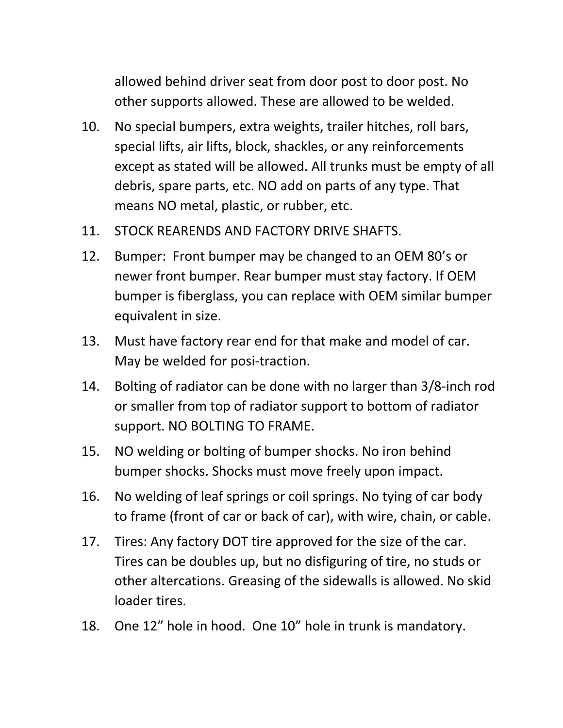allowed behind driver seat from door post to door post. No other supports allowed. These are allowed to be welded.

- 10. No special bumpers, extra weights, trailer hitches, roll bars, special lifts, air lifts, block, shackles, or any reinforcements except as stated will be allowed. All trunks must be empty of all debris, spare parts, etc. NO add on parts of any type. That means NO metal, plastic, or rubber, etc.
- 11. STOCK REARENDS AND FACTORY DRIVE SHAFTS.
- 12. Bumper: Front bumper may be changed to an OEM 80's or newer front bumper. Rear bumper must stay factory. If OEM bumper is fiberglass, you can replace with OEM similar bumper equivalent in size.
- 13. Must have factory rear end for that make and model of car. May be welded for posi-traction.
- 14. Bolting of radiator can be done with no larger than 3/8‐inch rod or smaller from top of radiator support to bottom of radiator support. NO BOLTING TO FRAME.
- 15. NO welding or bolting of bumper shocks. No iron behind bumper shocks. Shocks must move freely upon impact.
- 16. No welding of leaf springs or coil springs. No tying of car body to frame (front of car or back of car), with wire, chain, or cable.
- 17. Tires: Any factory DOT tire approved for the size of the car. Tires can be doubles up, but no disfiguring of tire, no studs or other altercations. Greasing of the sidewalls is allowed. No skid loader tires.
- 18. One 12" hole in hood. One 10" hole in trunk is mandatory.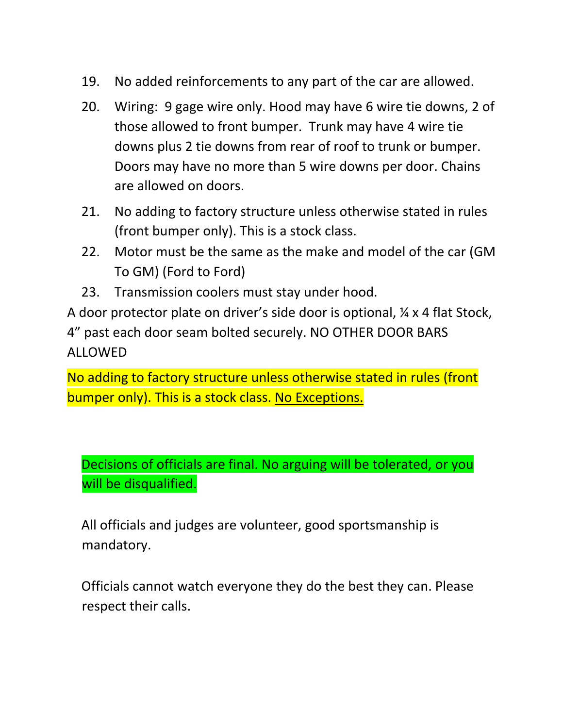- 19. No added reinforcements to any part of the car are allowed.
- 20. Wiring: 9 gage wire only. Hood may have 6 wire tie downs, 2 of those allowed to front bumper. Trunk may have 4 wire tie downs plus 2 tie downs from rear of roof to trunk or bumper. Doors may have no more than 5 wire downs per door. Chains are allowed on doors.
- 21. No adding to factory structure unless otherwise stated in rules (front bumper only). This is a stock class.
- 22. Motor must be the same as the make and model of the car (GM To GM) (Ford to Ford)
- 23. Transmission coolers must stay under hood.

A door protector plate on driver's side door is optional, ¼ x 4 flat Stock, 4" past each door seam bolted securely. NO OTHER DOOR BARS ALLOWED

No adding to factory structure unless otherwise stated in rules (front bumper only). This is a stock class. No Exceptions.

Decisions of officials are final. No arguing will be tolerated, or you will be disqualified.

All officials and judges are volunteer, good sportsmanship is mandatory.

Officials cannot watch everyone they do the best they can. Please respect their calls.